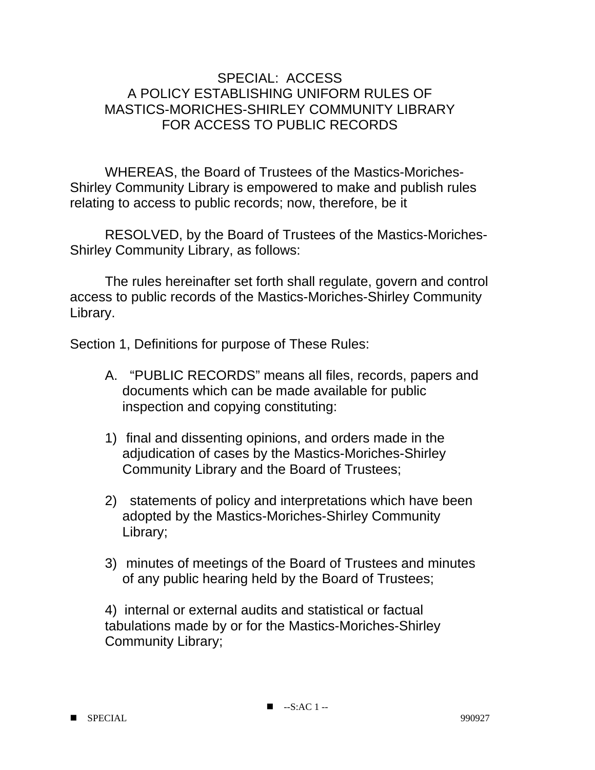## SPECIAL: ACCESS A POLICY ESTABLISHING UNIFORM RULES OF MASTICS-MORICHES-SHIRLEY COMMUNITY LIBRARY FOR ACCESS TO PUBLIC RECORDS

 WHEREAS, the Board of Trustees of the Mastics-Moriches-Shirley Community Library is empowered to make and publish rules relating to access to public records; now, therefore, be it

 RESOLVED, by the Board of Trustees of the Mastics-Moriches-Shirley Community Library, as follows:

 The rules hereinafter set forth shall regulate, govern and control access to public records of the Mastics-Moriches-Shirley Community Library.

Section 1, Definitions for purpose of These Rules:

- A. "PUBLIC RECORDS" means all files, records, papers and documents which can be made available for public inspection and copying constituting:
- 1) final and dissenting opinions, and orders made in the adjudication of cases by the Mastics-Moriches-Shirley Community Library and the Board of Trustees;
- 2) statements of policy and interpretations which have been adopted by the Mastics-Moriches-Shirley Community Library;
- 3) minutes of meetings of the Board of Trustees and minutes of any public hearing held by the Board of Trustees;

4) internal or external audits and statistical or factual tabulations made by or for the Mastics-Moriches-Shirley Community Library;